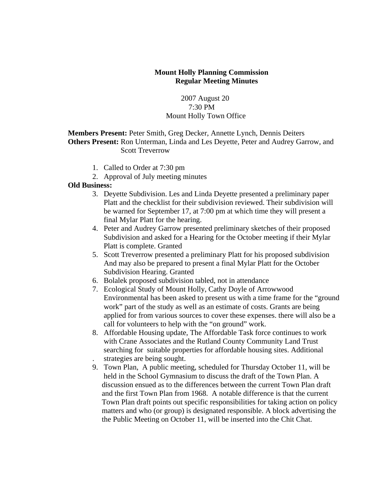## **Mount Holly Planning Commission Regular Meeting Minutes**

# 2007 August 20 7:30 PM Mount Holly Town Office

# **Members Present:** Peter Smith, Greg Decker, Annette Lynch, Dennis Deiters **Others Present:** Ron Unterman, Linda and Les Deyette, Peter and Audrey Garrow, and Scott Treverrow

- 1. Called to Order at 7:30 pm
- 2. Approval of July meeting minutes

### **Old Business:**

- 3. Deyette Subdivision. Les and Linda Deyette presented a preliminary paper Platt and the checklist for their subdivision reviewed. Their subdivision will be warned for September 17, at 7:00 pm at which time they will present a final Mylar Platt for the hearing.
- 4. Peter and Audrey Garrow presented preliminary sketches of their proposed Subdivision and asked for a Hearing for the October meeting if their Mylar Platt is complete. Granted
- 5. Scott Treverrow presented a preliminary Platt for his proposed subdivision And may also be prepared to present a final Mylar Platt for the October Subdivision Hearing. Granted
- 6. Bolalek proposed subdivision tabled, not in attendance
- 7. Ecological Study of Mount Holly, Cathy Doyle of Arrowwood Environmental has been asked to present us with a time frame for the "ground work" part of the study as well as an estimate of costs. Grants are being applied for from various sources to cover these expenses. there will also be a call for volunteers to help with the "on ground" work.
- 8. Affordable Housing update, The Affordable Task force continues to work with Crane Associates and the Rutland County Community Land Trust searching for suitable properties for affordable housing sites. Additional . strategies are being sought.
- 9. Town Plan, A public meeting, scheduled for Thursday October 11, will be held in the School Gymnasium to discuss the draft of the Town Plan. A discussion ensued as to the differences between the current Town Plan draft and the first Town Plan from 1968. A notable difference is that the current Town Plan draft points out specific responsibilities for taking action on policy matters and who (or group) is designated responsible. A block advertising the the Public Meeting on October 11, will be inserted into the Chit Chat.